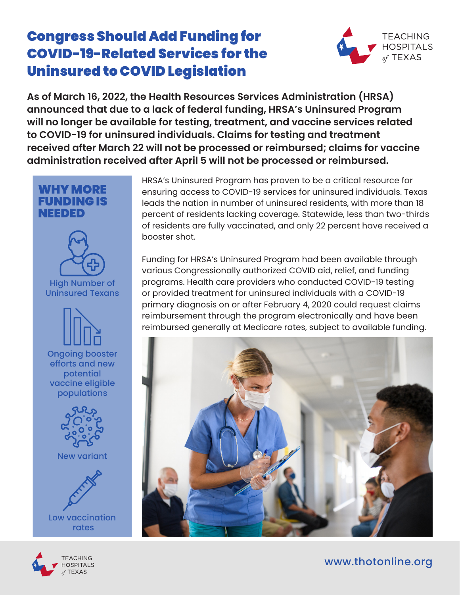## Congress Should Add Funding for COVID-19-Related Services for the Uninsured to COVID Legislation



**As of March 16, 2022, the Health Resources Services Administration (HRSA) announced that due to a lack of federal funding, HRSA's Uninsured Program will no longer be available for testing, treatment, and vaccine services related to COVID-19 for uninsured individuals. Claims for testing and treatment received after March 22 will not be processed or reimbursed; claims for vaccine administration received after April 5 will not be processed or reimbursed.**



TEACHING **HOSPITALS TEXAS** 

HRSA's Uninsured Program has proven to be a critical resource for ensuring access to COVID-19 services for uninsured individuals. Texas leads the nation in number of uninsured residents, with more than 18 percent of residents lacking coverage. Statewide, less than two-thirds of residents are fully vaccinated, and only 22 percent have received a booster shot.

Funding for HRSA's Uninsured Program had been available through various Congressionally authorized COVID aid, relief, and funding programs. Health care providers who conducted COVID-19 testing or provided treatment for uninsured individuals with a COVID-19 primary diagnosis on or after February 4, 2020 could request claims reimbursement through the program electronically and have been reimbursed generally at Medicare rates, subject to available funding.